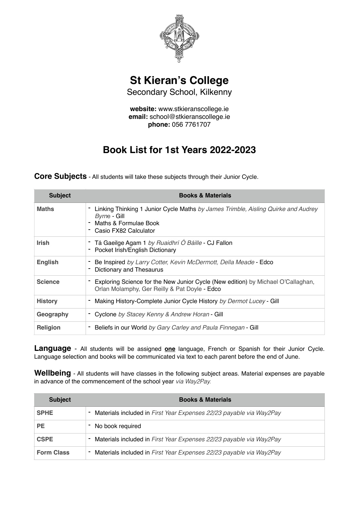

**St Kieran's College**

Secondary School, Kilkenny

**website:** www.stkieranscollege.ie **email:** school@stkieranscollege.ie **phone:** 056 7761707

## **Book List for 1st Years 2022-2023**

**Core Subjects** - All students will take these subjects through their Junior Cycle.

| <b>Subject</b>  | <b>Books &amp; Materials</b>                                                                                                                          |
|-----------------|-------------------------------------------------------------------------------------------------------------------------------------------------------|
| <b>Maths</b>    | Linking Thinking 1 Junior Cycle Maths by James Trimble, Aisling Quirke and Audrey<br>Byrne - Gill<br>Maths & Formulae Book<br>- Casio FX82 Calculator |
| <b>Irish</b>    | - Tá Gaeilge Agam 1 by Ruaidhrí Ó Báille - CJ Fallon<br>Pocket Irish/English Dictionary                                                               |
| <b>English</b>  | Be Inspired by Larry Cotter, Kevin McDermott, Della Meade - Edco<br>Dictionary and Thesaurus                                                          |
| <b>Science</b>  | Exploring Science for the New Junior Cycle (New edition) by Michael O'Callaghan,<br>Orlan Molamphy, Ger Reilly & Pat Doyle - Edco                     |
| <b>History</b>  | Making History-Complete Junior Cycle History by Dermot Lucey - Gill                                                                                   |
| Geography       | Cyclone by Stacey Kenny & Andrew Horan - Gill                                                                                                         |
| <b>Religion</b> | Beliefs in our World by Gary Carley and Paula Finnegan - Gill                                                                                         |

**Language** - All students will be assigned **one** language, French or Spanish for their Junior Cycle. Language selection and books will be communicated via text to each parent before the end of June.

**Wellbeing** - All students will have classes in the following subject areas. Material expenses are payable in advance of the commencement of the school year *via Way2Pay.*

| <b>Subject</b>    | <b>Books &amp; Materials</b>                                          |
|-------------------|-----------------------------------------------------------------------|
| <b>SPHE</b>       | - Materials included in First Year Expenses 22/23 payable via Way2Pay |
| PE.               | - No book required                                                    |
| <b>CSPE</b>       | - Materials included in First Year Expenses 22/23 payable via Way2Pay |
| <b>Form Class</b> | - Materials included in First Year Expenses 22/23 payable via Way2Pay |